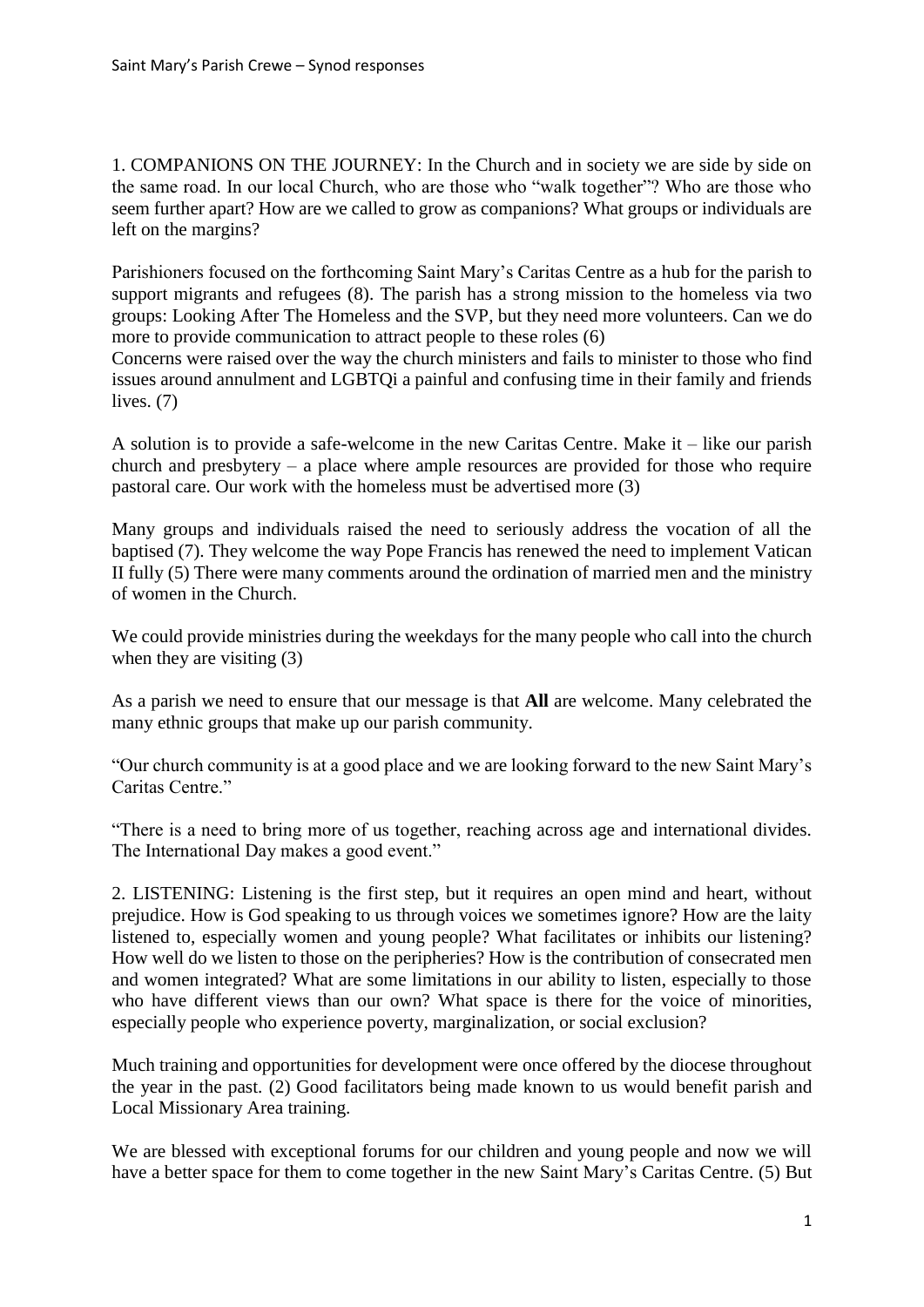1. COMPANIONS ON THE JOURNEY: In the Church and in society we are side by side on the same road. In our local Church, who are those who "walk together"? Who are those who seem further apart? How are we called to grow as companions? What groups or individuals are left on the margins?

Parishioners focused on the forthcoming Saint Mary's Caritas Centre as a hub for the parish to support migrants and refugees (8). The parish has a strong mission to the homeless via two groups: Looking After The Homeless and the SVP, but they need more volunteers. Can we do more to provide communication to attract people to these roles (6)

Concerns were raised over the way the church ministers and fails to minister to those who find issues around annulment and LGBTQi a painful and confusing time in their family and friends lives.  $(7)$ 

A solution is to provide a safe-welcome in the new Caritas Centre. Make it – like our parish church and presbytery – a place where ample resources are provided for those who require pastoral care. Our work with the homeless must be advertised more (3)

Many groups and individuals raised the need to seriously address the vocation of all the baptised (7). They welcome the way Pope Francis has renewed the need to implement Vatican II fully (5) There were many comments around the ordination of married men and the ministry of women in the Church.

We could provide ministries during the weekdays for the many people who call into the church when they are visiting (3)

As a parish we need to ensure that our message is that **All** are welcome. Many celebrated the many ethnic groups that make up our parish community.

"Our church community is at a good place and we are looking forward to the new Saint Mary's Caritas Centre."

"There is a need to bring more of us together, reaching across age and international divides. The International Day makes a good event."

2. LISTENING: Listening is the first step, but it requires an open mind and heart, without prejudice. How is God speaking to us through voices we sometimes ignore? How are the laity listened to, especially women and young people? What facilitates or inhibits our listening? How well do we listen to those on the peripheries? How is the contribution of consecrated men and women integrated? What are some limitations in our ability to listen, especially to those who have different views than our own? What space is there for the voice of minorities, especially people who experience poverty, marginalization, or social exclusion?

Much training and opportunities for development were once offered by the diocese throughout the year in the past. (2) Good facilitators being made known to us would benefit parish and Local Missionary Area training.

We are blessed with exceptional forums for our children and young people and now we will have a better space for them to come together in the new Saint Mary's Caritas Centre. (5) But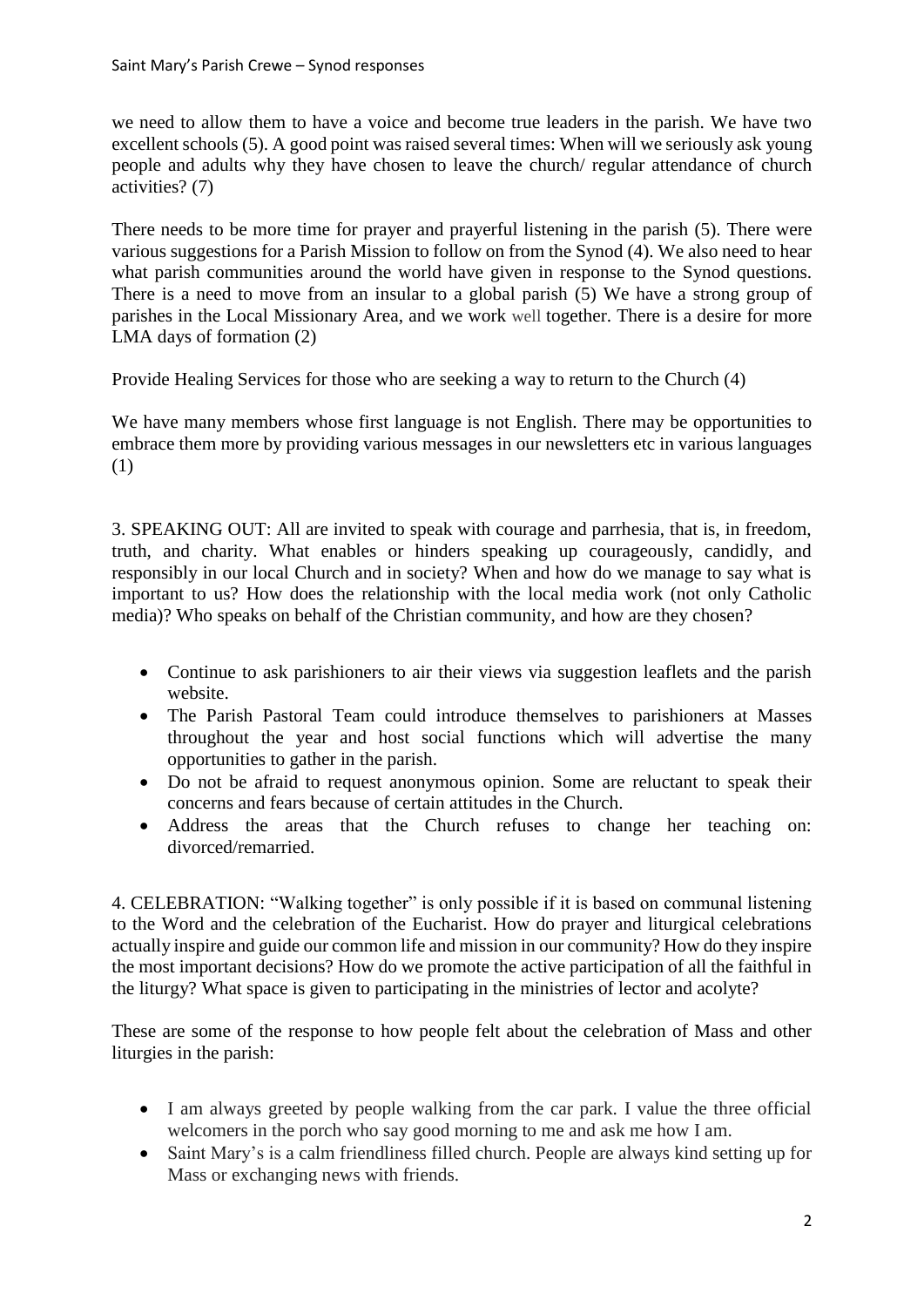we need to allow them to have a voice and become true leaders in the parish. We have two excellent schools (5). A good point was raised several times: When will we seriously ask young people and adults why they have chosen to leave the church/ regular attendance of church activities? (7)

There needs to be more time for prayer and prayerful listening in the parish (5). There were various suggestions for a Parish Mission to follow on from the Synod (4). We also need to hear what parish communities around the world have given in response to the Synod questions. There is a need to move from an insular to a global parish (5) We have a strong group of parishes in the Local Missionary Area, and we work well together. There is a desire for more LMA days of formation (2)

Provide Healing Services for those who are seeking a way to return to the Church (4)

We have many members whose first language is not English. There may be opportunities to embrace them more by providing various messages in our newsletters etc in various languages (1)

3. SPEAKING OUT: All are invited to speak with courage and parrhesia, that is, in freedom, truth, and charity. What enables or hinders speaking up courageously, candidly, and responsibly in our local Church and in society? When and how do we manage to say what is important to us? How does the relationship with the local media work (not only Catholic media)? Who speaks on behalf of the Christian community, and how are they chosen?

- Continue to ask parishioners to air their views via suggestion leaflets and the parish website.
- The Parish Pastoral Team could introduce themselves to parishioners at Masses throughout the year and host social functions which will advertise the many opportunities to gather in the parish.
- Do not be afraid to request anonymous opinion. Some are reluctant to speak their concerns and fears because of certain attitudes in the Church.
- Address the areas that the Church refuses to change her teaching on: divorced/remarried.

4. CELEBRATION: "Walking together" is only possible if it is based on communal listening to the Word and the celebration of the Eucharist. How do prayer and liturgical celebrations actually inspire and guide our common life and mission in our community? How do they inspire the most important decisions? How do we promote the active participation of all the faithful in the liturgy? What space is given to participating in the ministries of lector and acolyte?

These are some of the response to how people felt about the celebration of Mass and other liturgies in the parish:

- I am always greeted by people walking from the car park. I value the three official welcomers in the porch who say good morning to me and ask me how I am.
- Saint Mary's is a calm friendliness filled church. People are always kind setting up for Mass or exchanging news with friends.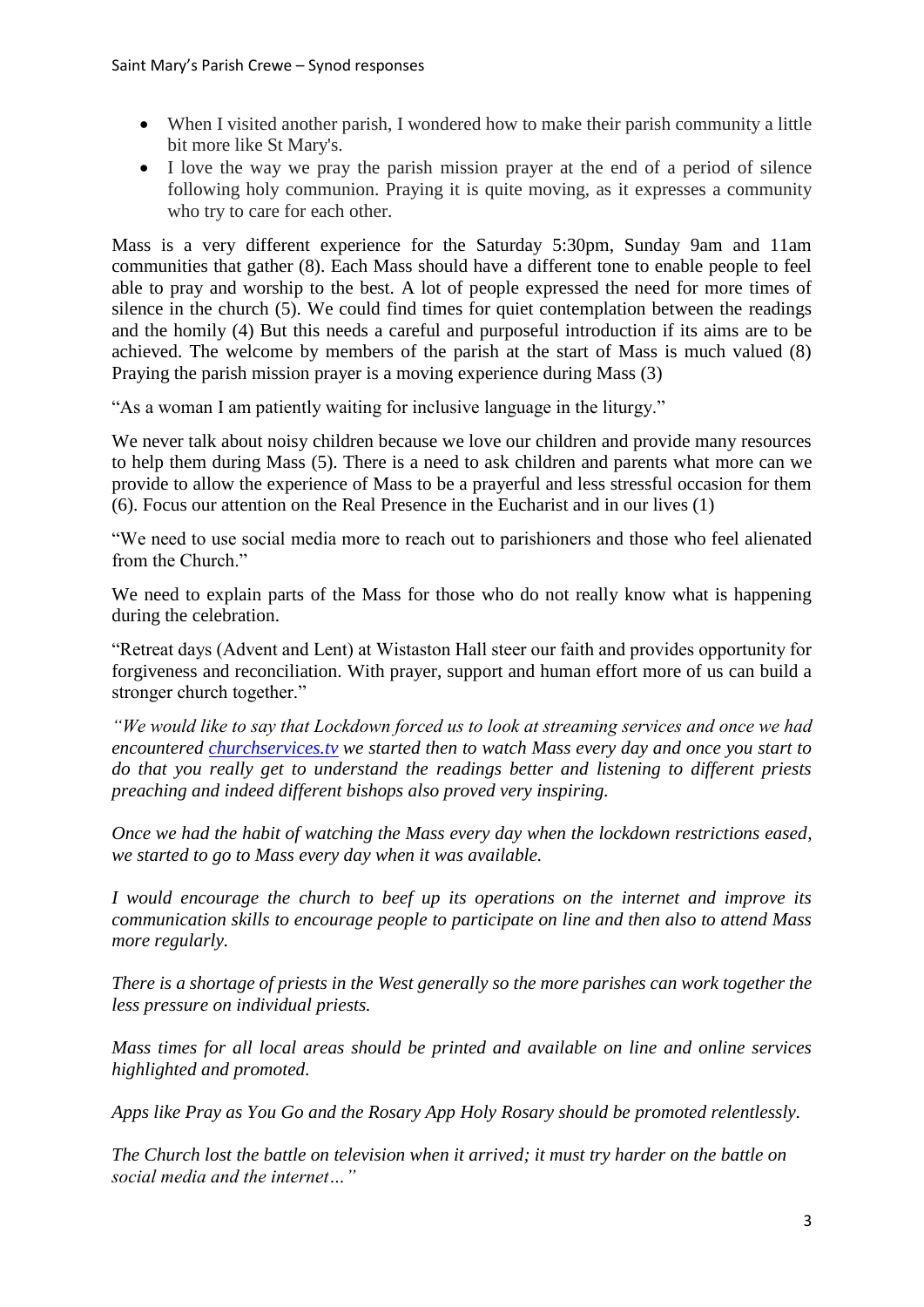- When I visited another parish, I wondered how to make their parish community a little bit more like St Mary's.
- I love the way we pray the parish mission prayer at the end of a period of silence following holy communion. Praying it is quite moving, as it expresses a community who try to care for each other.

Mass is a very different experience for the Saturday 5:30pm, Sunday 9am and 11am communities that gather (8). Each Mass should have a different tone to enable people to feel able to pray and worship to the best. A lot of people expressed the need for more times of silence in the church (5). We could find times for quiet contemplation between the readings and the homily (4) But this needs a careful and purposeful introduction if its aims are to be achieved. The welcome by members of the parish at the start of Mass is much valued (8) Praying the parish mission prayer is a moving experience during Mass (3)

"As a woman I am patiently waiting for inclusive language in the liturgy."

We never talk about noisy children because we love our children and provide many resources to help them during Mass (5). There is a need to ask children and parents what more can we provide to allow the experience of Mass to be a prayerful and less stressful occasion for them (6). Focus our attention on the Real Presence in the Eucharist and in our lives (1)

"We need to use social media more to reach out to parishioners and those who feel alienated from the Church."

We need to explain parts of the Mass for those who do not really know what is happening during the celebration.

"Retreat days (Advent and Lent) at Wistaston Hall steer our faith and provides opportunity for forgiveness and reconciliation. With prayer, support and human effort more of us can build a stronger church together."

*"We would like to say that Lockdown forced us to look at streaming services and once we had encountered [churchservices.tv](http://churhcservices.tv/) we started then to watch Mass every day and once you start to do that you really get to understand the readings better and listening to different priests preaching and indeed different bishops also proved very inspiring.*

*Once we had the habit of watching the Mass every day when the lockdown restrictions eased, we started to go to Mass every day when it was available.*

*I would encourage the church to beef up its operations on the internet and improve its communication skills to encourage people to participate on line and then also to attend Mass more regularly.*

*There is a shortage of priests in the West generally so the more parishes can work together the less pressure on individual priests.*

*Mass times for all local areas should be printed and available on line and online services highlighted and promoted.*

*Apps like Pray as You Go and the Rosary App Holy Rosary should be promoted relentlessly.*

*The Church lost the battle on television when it arrived; it must try harder on the battle on social media and the internet…"*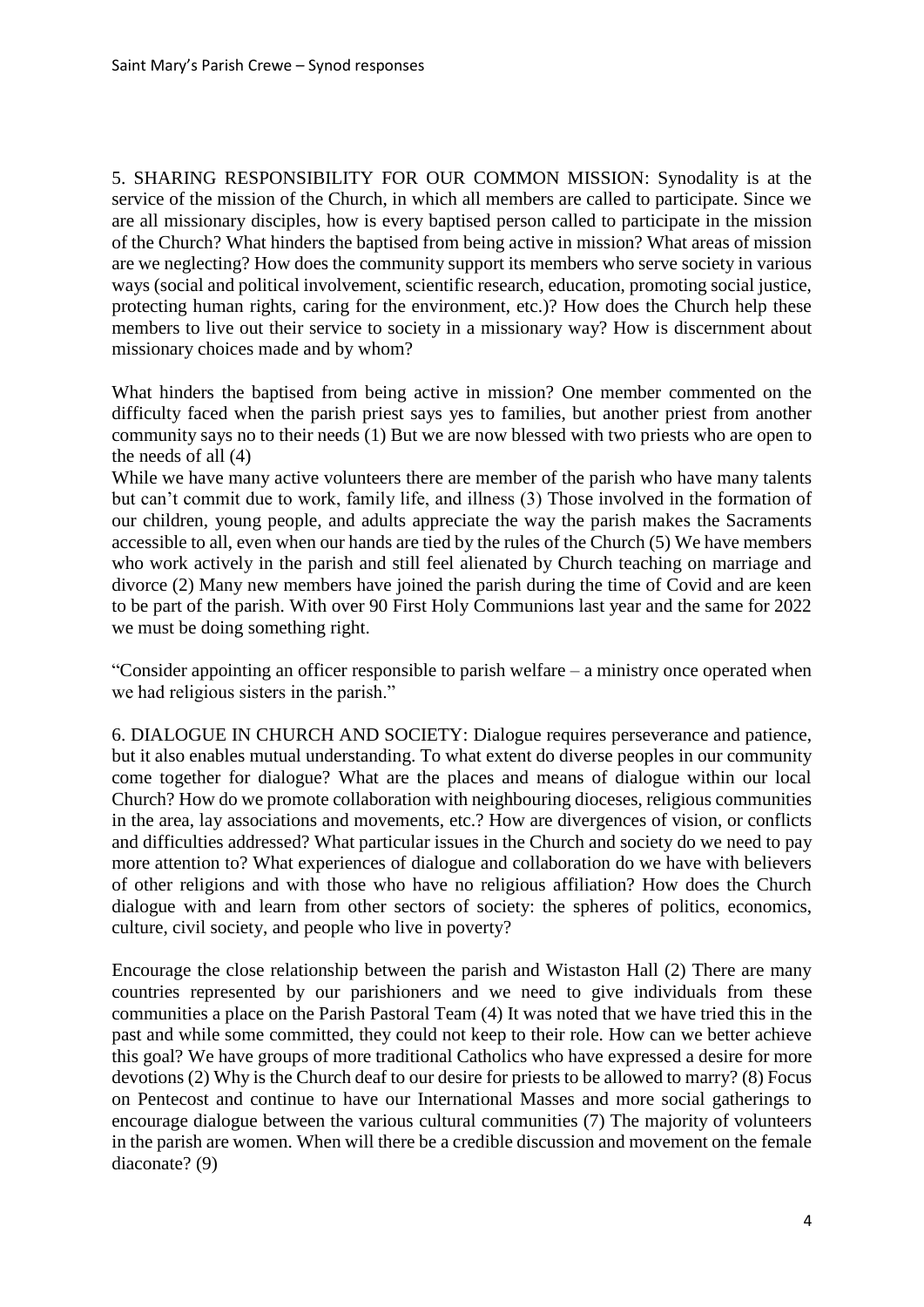5. SHARING RESPONSIBILITY FOR OUR COMMON MISSION: Synodality is at the service of the mission of the Church, in which all members are called to participate. Since we are all missionary disciples, how is every baptised person called to participate in the mission of the Church? What hinders the baptised from being active in mission? What areas of mission are we neglecting? How does the community support its members who serve society in various ways (social and political involvement, scientific research, education, promoting social justice, protecting human rights, caring for the environment, etc.)? How does the Church help these members to live out their service to society in a missionary way? How is discernment about missionary choices made and by whom?

What hinders the baptised from being active in mission? One member commented on the difficulty faced when the parish priest says yes to families, but another priest from another community says no to their needs (1) But we are now blessed with two priests who are open to the needs of all (4)

While we have many active volunteers there are member of the parish who have many talents but can't commit due to work, family life, and illness (3) Those involved in the formation of our children, young people, and adults appreciate the way the parish makes the Sacraments accessible to all, even when our hands are tied by the rules of the Church (5) We have members who work actively in the parish and still feel alienated by Church teaching on marriage and divorce (2) Many new members have joined the parish during the time of Covid and are keen to be part of the parish. With over 90 First Holy Communions last year and the same for 2022 we must be doing something right.

"Consider appointing an officer responsible to parish welfare – a ministry once operated when we had religious sisters in the parish."

6. DIALOGUE IN CHURCH AND SOCIETY: Dialogue requires perseverance and patience, but it also enables mutual understanding. To what extent do diverse peoples in our community come together for dialogue? What are the places and means of dialogue within our local Church? How do we promote collaboration with neighbouring dioceses, religious communities in the area, lay associations and movements, etc.? How are divergences of vision, or conflicts and difficulties addressed? What particular issues in the Church and society do we need to pay more attention to? What experiences of dialogue and collaboration do we have with believers of other religions and with those who have no religious affiliation? How does the Church dialogue with and learn from other sectors of society: the spheres of politics, economics, culture, civil society, and people who live in poverty?

Encourage the close relationship between the parish and Wistaston Hall (2) There are many countries represented by our parishioners and we need to give individuals from these communities a place on the Parish Pastoral Team (4) It was noted that we have tried this in the past and while some committed, they could not keep to their role. How can we better achieve this goal? We have groups of more traditional Catholics who have expressed a desire for more devotions (2) Why is the Church deaf to our desire for priests to be allowed to marry? (8) Focus on Pentecost and continue to have our International Masses and more social gatherings to encourage dialogue between the various cultural communities (7) The majority of volunteers in the parish are women. When will there be a credible discussion and movement on the female diaconate? (9)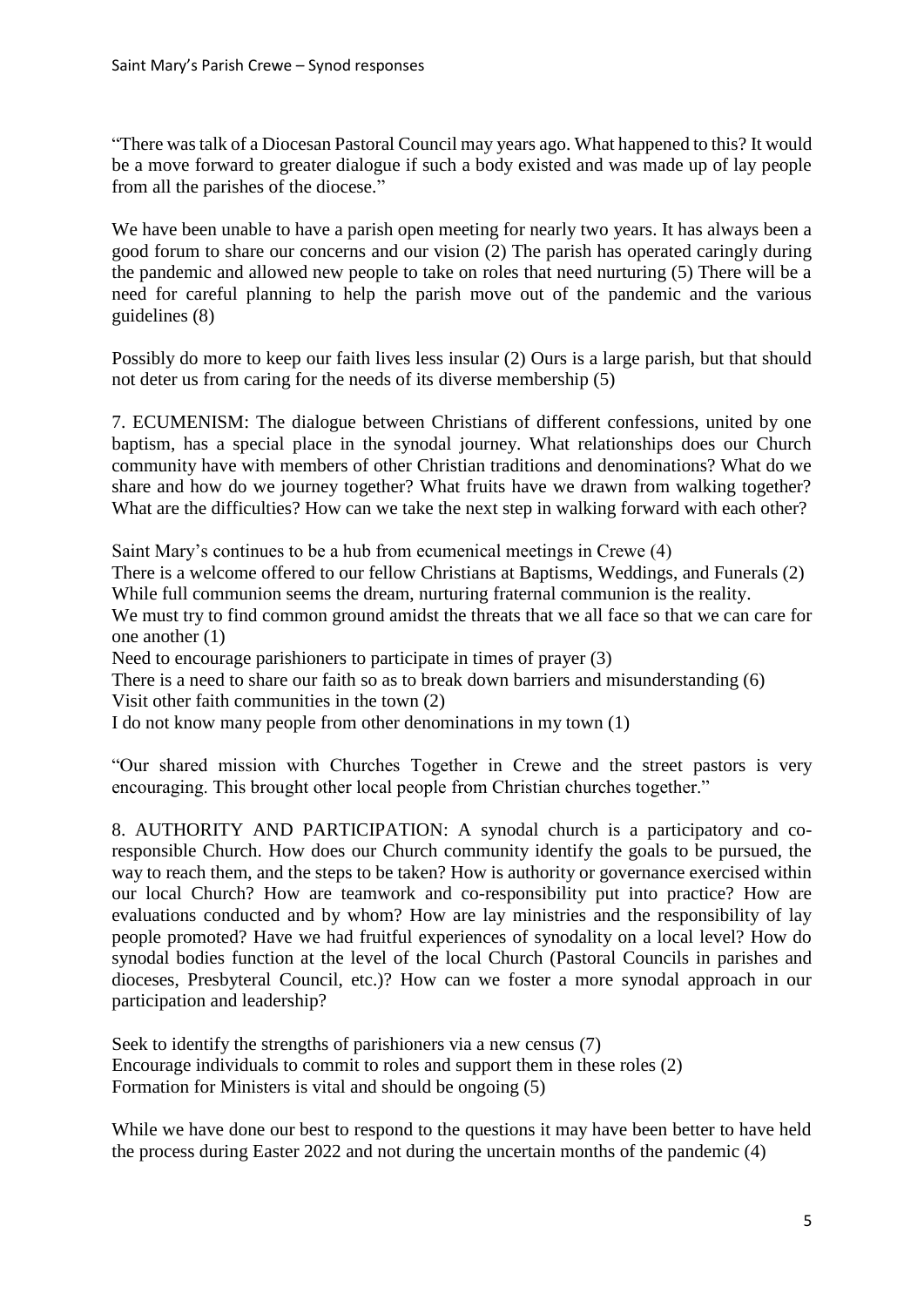"There was talk of a Diocesan Pastoral Council may years ago. What happened to this? It would be a move forward to greater dialogue if such a body existed and was made up of lay people from all the parishes of the diocese."

We have been unable to have a parish open meeting for nearly two years. It has always been a good forum to share our concerns and our vision (2) The parish has operated caringly during the pandemic and allowed new people to take on roles that need nurturing (5) There will be a need for careful planning to help the parish move out of the pandemic and the various guidelines (8)

Possibly do more to keep our faith lives less insular (2) Ours is a large parish, but that should not deter us from caring for the needs of its diverse membership (5)

7. ECUMENISM: The dialogue between Christians of different confessions, united by one baptism, has a special place in the synodal journey. What relationships does our Church community have with members of other Christian traditions and denominations? What do we share and how do we journey together? What fruits have we drawn from walking together? What are the difficulties? How can we take the next step in walking forward with each other?

Saint Mary's continues to be a hub from ecumenical meetings in Crewe (4) There is a welcome offered to our fellow Christians at Baptisms, Weddings, and Funerals (2) While full communion seems the dream, nurturing fraternal communion is the reality. We must try to find common ground amidst the threats that we all face so that we can care for one another (1)

Need to encourage parishioners to participate in times of prayer (3)

There is a need to share our faith so as to break down barriers and misunderstanding (6)

Visit other faith communities in the town (2)

I do not know many people from other denominations in my town (1)

"Our shared mission with Churches Together in Crewe and the street pastors is very encouraging. This brought other local people from Christian churches together."

8. AUTHORITY AND PARTICIPATION: A synodal church is a participatory and coresponsible Church. How does our Church community identify the goals to be pursued, the way to reach them, and the steps to be taken? How is authority or governance exercised within our local Church? How are teamwork and co-responsibility put into practice? How are evaluations conducted and by whom? How are lay ministries and the responsibility of lay people promoted? Have we had fruitful experiences of synodality on a local level? How do synodal bodies function at the level of the local Church (Pastoral Councils in parishes and dioceses, Presbyteral Council, etc.)? How can we foster a more synodal approach in our participation and leadership?

Seek to identify the strengths of parishioners via a new census (7) Encourage individuals to commit to roles and support them in these roles (2) Formation for Ministers is vital and should be ongoing (5)

While we have done our best to respond to the questions it may have been better to have held the process during Easter 2022 and not during the uncertain months of the pandemic (4)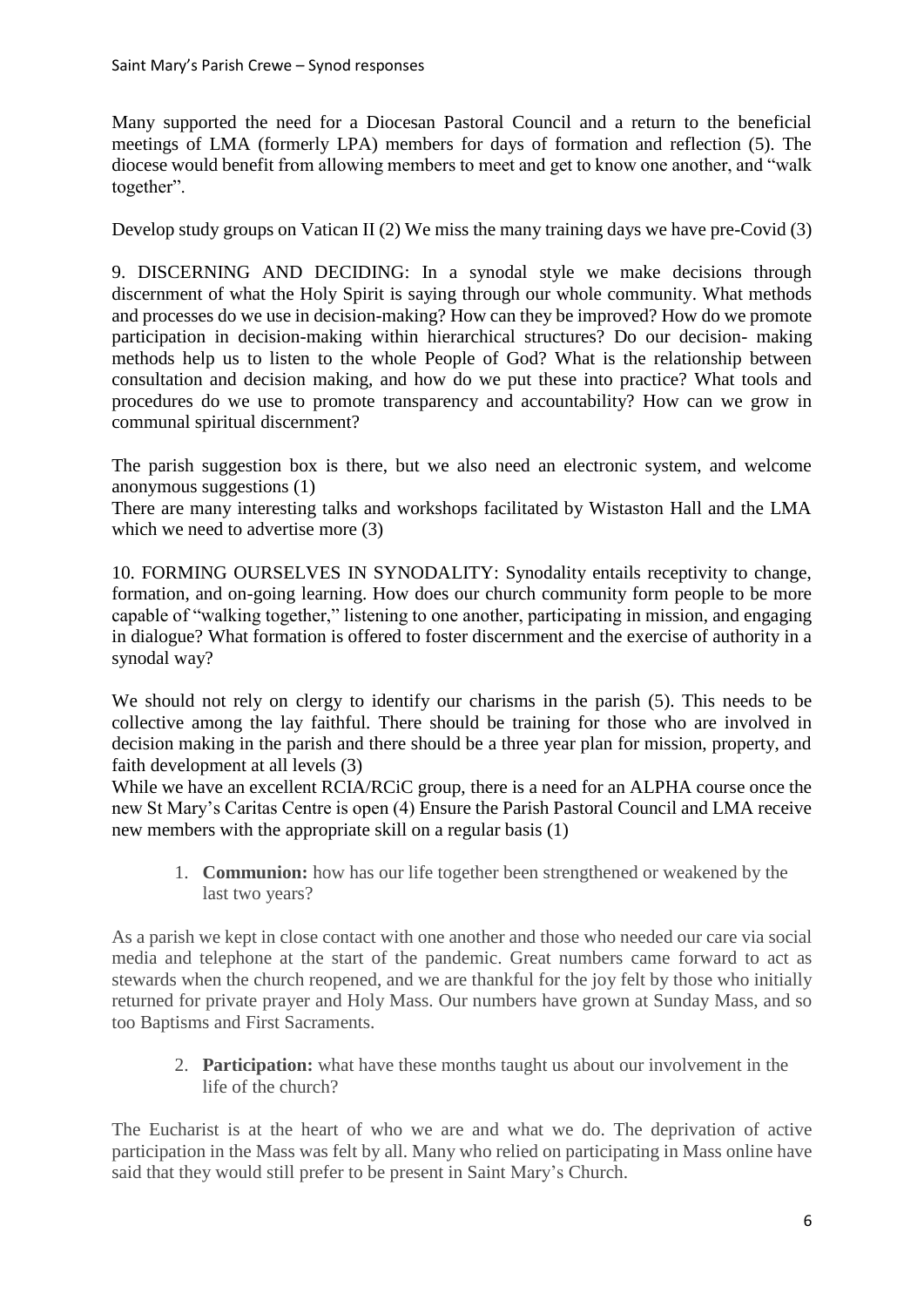Many supported the need for a Diocesan Pastoral Council and a return to the beneficial meetings of LMA (formerly LPA) members for days of formation and reflection (5). The diocese would benefit from allowing members to meet and get to know one another, and "walk together".

Develop study groups on Vatican II (2) We miss the many training days we have pre-Covid (3)

9. DISCERNING AND DECIDING: In a synodal style we make decisions through discernment of what the Holy Spirit is saying through our whole community. What methods and processes do we use in decision-making? How can they be improved? How do we promote participation in decision-making within hierarchical structures? Do our decision- making methods help us to listen to the whole People of God? What is the relationship between consultation and decision making, and how do we put these into practice? What tools and procedures do we use to promote transparency and accountability? How can we grow in communal spiritual discernment?

The parish suggestion box is there, but we also need an electronic system, and welcome anonymous suggestions (1)

There are many interesting talks and workshops facilitated by Wistaston Hall and the LMA which we need to advertise more  $(3)$ 

10. FORMING OURSELVES IN SYNODALITY: Synodality entails receptivity to change, formation, and on-going learning. How does our church community form people to be more capable of "walking together," listening to one another, participating in mission, and engaging in dialogue? What formation is offered to foster discernment and the exercise of authority in a synodal way?

We should not rely on clergy to identify our charisms in the parish (5). This needs to be collective among the lay faithful. There should be training for those who are involved in decision making in the parish and there should be a three year plan for mission, property, and faith development at all levels (3)

While we have an excellent RCIA/RCiC group, there is a need for an ALPHA course once the new St Mary's Caritas Centre is open (4) Ensure the Parish Pastoral Council and LMA receive new members with the appropriate skill on a regular basis (1)

1. **Communion:** how has our life together been strengthened or weakened by the last two years?

As a parish we kept in close contact with one another and those who needed our care via social media and telephone at the start of the pandemic. Great numbers came forward to act as stewards when the church reopened, and we are thankful for the joy felt by those who initially returned for private prayer and Holy Mass. Our numbers have grown at Sunday Mass, and so too Baptisms and First Sacraments.

2. **Participation:** what have these months taught us about our involvement in the life of the church?

The Eucharist is at the heart of who we are and what we do. The deprivation of active participation in the Mass was felt by all. Many who relied on participating in Mass online have said that they would still prefer to be present in Saint Mary's Church.